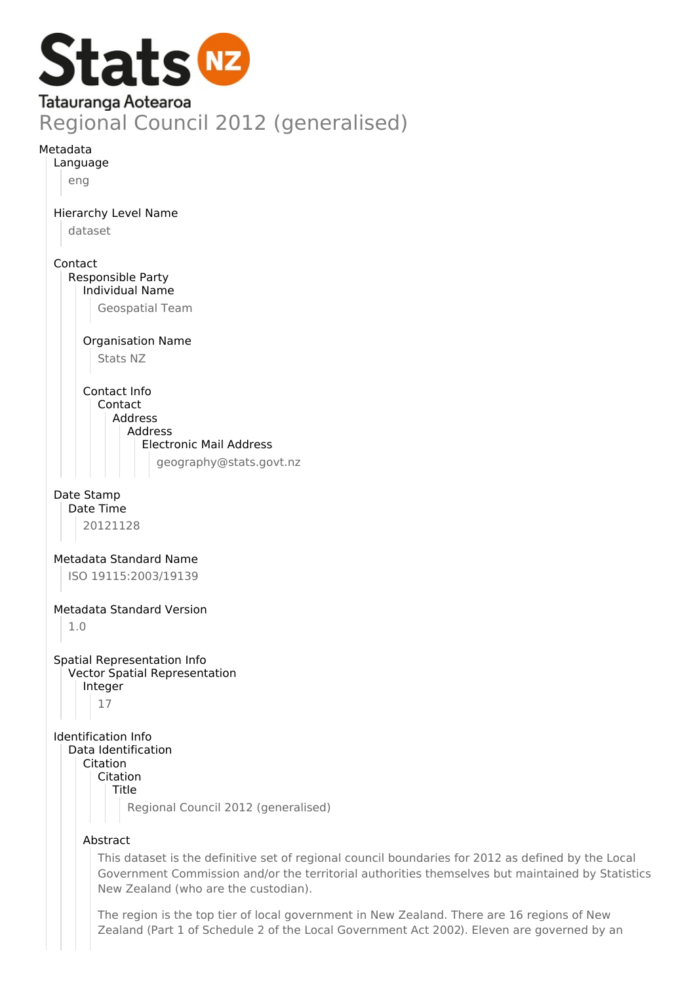

Date Stamp Date Time

20121128

Metadata Standard Name ISO 19115:2003/19139

Metadata Standard Version

1.0

Spatial Representation Info Vector Spatial Representation Integer 17

Identification Info Data Identification Citation

Citation Title

Regional Council 2012 (generalised)

## Abstract

This dataset is the definitive set of regional council boundaries for 2012 as defined by the Local Government Commission and/or the territorial authorities themselves but maintained by Statistics New Zealand (who are the custodian).

The region is the top tier of local government in New Zealand. There are 16 regions of New Zealand (Part 1 of Schedule 2 of the Local Government Act 2002). Eleven are governed by an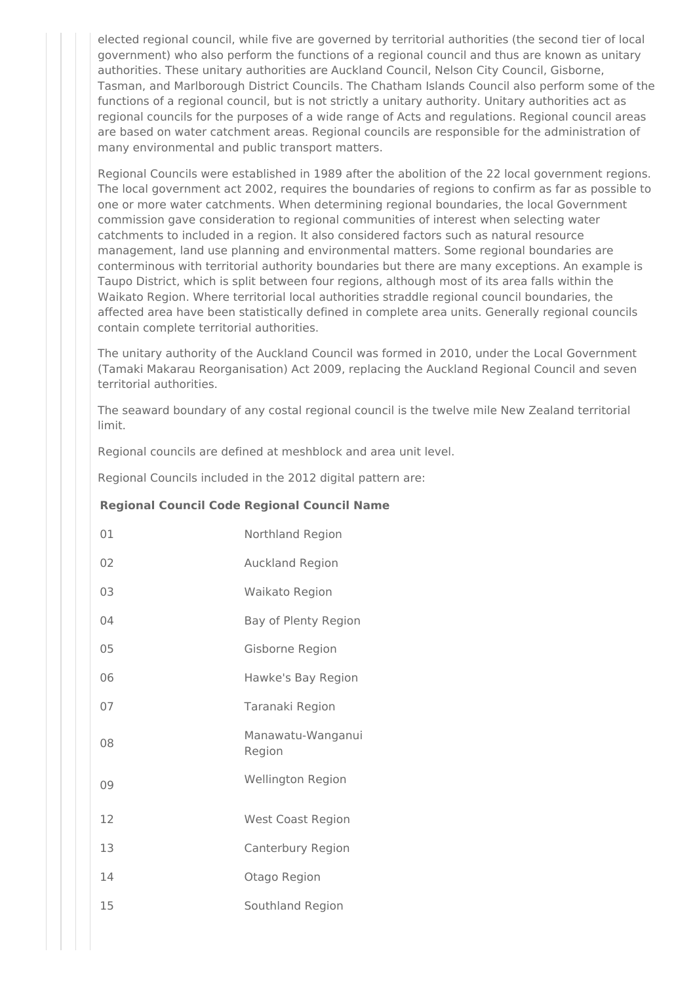elected regional council, while five are governed by territorial authorities (the second tier of local government) who also perform the functions of a regional council and thus are known as unitary authorities. These unitary authorities are Auckland Council, Nelson City Council, Gisborne, Tasman, and Marlborough District Councils. The Chatham Islands Council also perform some of the functions of a regional council, but is not strictly a unitary authority. Unitary authorities act as regional councils for the purposes of a wide range of Acts and regulations. Regional council areas are based on water catchment areas. Regional councils are responsible for the administration of many environmental and public transport matters.

Regional Councils were established in 1989 after the abolition of the 22 local government regions. The local government act 2002, requires the boundaries of regions to confirm as far as possible to one or more water catchments. When determining regional boundaries, the local Government commission gave consideration to regional communities of interest when selecting water catchments to included in a region. It also considered factors such as natural resource management, land use planning and environmental matters. Some regional boundaries are conterminous with territorial authority boundaries but there are many exceptions. An example is Taupo District, which is split between four regions, although most of its area falls within the Waikato Region. Where territorial local authorities straddle regional council boundaries, the affected area have been statistically defined in complete area units. Generally regional councils contain complete territorial authorities.

The unitary authority of the Auckland Council was formed in 2010, under the Local Government (Tamaki Makarau Reorganisation) Act 2009, replacing the Auckland Regional Council and seven territorial authorities.

The seaward boundary of any costal regional council is the twelve mile New Zealand territorial limit.

Regional councils are defined at meshblock and area unit level.

Regional Councils included in the 2012 digital pattern are:

## **Regional Council Code Regional Council Name**

| 01 | Northland Region            |
|----|-----------------------------|
| 02 | Auckland Region             |
| 03 | Waikato Region              |
| 04 | Bay of Plenty Region        |
| 05 | Gisborne Region             |
| 06 | Hawke's Bay Region          |
| 07 | Taranaki Region             |
| 08 | Manawatu-Wanganui<br>Region |
| 09 | <b>Wellington Region</b>    |
| 12 | <b>West Coast Region</b>    |
| 13 | Canterbury Region           |
| 14 | Otago Region                |
| 15 | Southland Region            |
|    |                             |